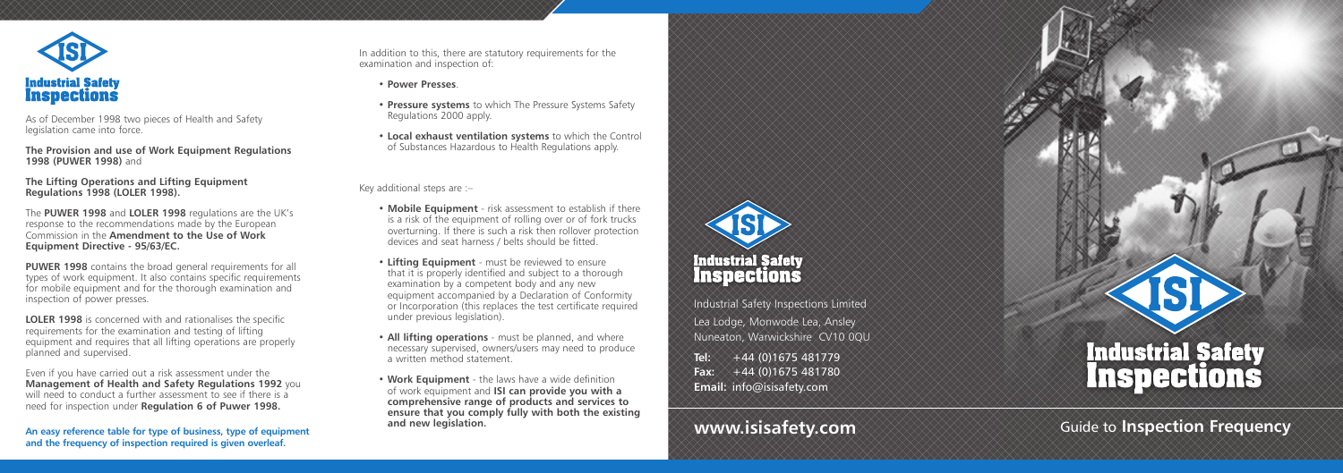In addition to this, there are statutory requirements for the examination and inspection of:

• **Power Presses** .

- **Pressure systems** to which The Pressure Systems Safety Regulations 2000 apply.
- **Local exhaust ventilation systems** to which the Control of Substances Hazardous to Health Regulations apply.

Key additional steps are :–

- **Mobile Equipment** risk assessment to establish if there is a risk of the equipment of rolling over or of fork trucks overturning. If there is such a risk then rollover protection devices and seat harness / belts should be fitted.
- **Lifting Equipment** must be reviewed to ensure that it is properly identified and subject to a thorough examination by a competent body and any new equipment accompanied by a Declaration of Conformity or Incorporation (this replaces the test certificate required under previous legislation).
- **All lifting operations** must be planned, and where necessary supervised, owners/users may need to produce a written method statement.
- **Work Equipment** the laws have a wide definition of work equipment and **ISI can provide you with a comprehensive range of products and services to ensure that you comply fully with both the existing**



Industrial Safety Inspections Limited Lea Lodge, Monwode Lea, Ansley Nuneaton, Warwickshire CV10 0QU **Tel:** +44 (0)1675 481779

**Fax:** +44 (0)1675 481780 **Email:** info@isisafety.com



and new legislation. **The community of the community of the community of the community of the community of the community of the community of the community of the community of the community of the community of the community** 



As of December 1998 two pieces of Health and Safety legislation came into force.

**The Provision and use of Work Equipment Regulations 1998 (PUWER 1998)** and

**The Lifting Operations and Lifting Equipment Regulations 1998 (LOLER 1998).**

The **PUWER 1998** and **LOLER 1998** regulations are the UK's response to the recommendations made by the European Commission in the **Amendment to the Use of Work Equipment Directive - 95/63/EC.**

**PUWER 1998** contains the broad general requirements for all types of work equipment. It also contains specific requirements for mobile equipment and for the thorough examination and inspection of power presses.

**LOLER 1998** is concerned with and rationalises the specific requirements for the examination and testing of lifting equipment and requires that all lifting operations are properly planned and supervised.

Even if you have carried out a risk assessment under the **Management of Health and Safety Regulations 1992** you will need to conduct a further assessment to see if there is a need for inspection under **Regulation 6 of Puwer 1998.**

**An easy reference table for type of business, type of equipment and the frequency of inspection required is given overleaf.**